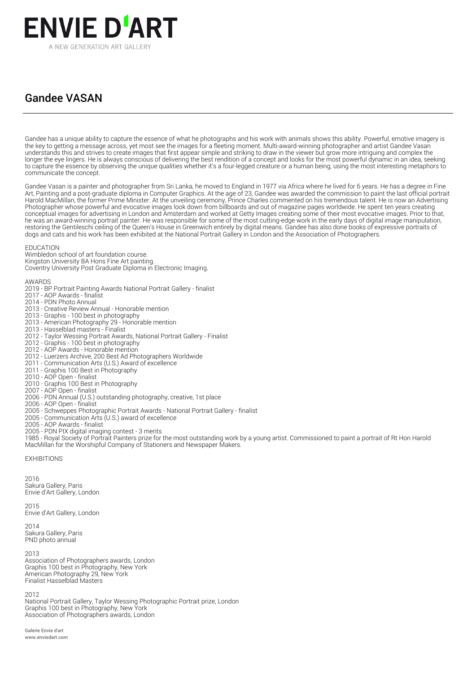

## Gandee VASAN

Gandee has a unique ability to capture the essence of what he photographs and his work with animals shows this ability. Powerful, emotive imagery is the key to getting a message across, yet most see the images for a fleeting moment. Multi-award-winning photographer and artist Gandee Vasan understands this and strives to create images that first appear simple and striking to draw in the viewer but grow more intriguing and complex the longer the eye lingers. He is always conscious of delivering the best rendition of a concept and looks for the most powerful dynamic in an idea, seeking to capture the essence by observing the unique qualities whether it's a four-legged creature or a human being, using the most interesting metaphors to communicate the concept.

Gandee Vasan is a painter and photographer from Sri Lanka, he moved to England in 1977 via Africa where he lived for 6 years. He has a degree in Fine Art, Painting and a post-graduate diploma in Computer Graphics. At the age of 23, Gandee was awarded the commission to paint the last official portrait Harold MacMillan, the former Prime Minister. At the unveiling ceremony, Prince Charles commented on his tremendous talent. He is now an Advertising Photographer whose powerful and evocative images look down from billboards and out of magazine pages worldwide. He spent ten years creating conceptual images for advertising in London and Amsterdam and worked at Getty Images creating some of their most evocative images. Prior to that, he was an award-winning portrait painter. He was responsible for some of the most cutting-edge work in the early days of digital image manipulation, restoring the Gentileschi ceiling of the Queen's House in Greenwich entirely by digital means. Gandee has also done books of expressive portraits of dogs and cats and his work has been exhibited at the National Portrait Gallery in London and the Association of Photographers.

EDUCATION

Wimbledon school of art foundation course. Kingston University BA Hons Fine Art painting. Coventry University Post Graduate Diploma in Electronic Imaging.

AWARDS

- 2019 BP Portrait Painting Awards National Portrait Gallery finalist
- 2017 AOP Awards finalist
- 2014 PDN Photo Annual
- 2013 Creative Review Annual Honorable mention
- 2013 Graphis 100 best in photography
- 2013 American Photography 29 Honorable mention
- 2013 Hasselblad masters Finalist
- 2012 Taylor Wessing Portrait Awards, National Portrait Gallery Finalist
- 2012 Graphis 100 best in photography
- 2012 AOP Awards Honorable mention
- 2012 Luerzers Archive, 200 Best Ad Photographers Worldwide
- 2011 Communication Arts (U.S.) Award of excellence
- 2011 Graphis 100 Best in Photography
- 2010 AOP Open finalist
- 2010 Graphis 100 Best in Photography
- 2007 AOP Open finalist
- 2006 PDN Annual (U.S.) outstanding photography, creative, 1st place
- 2006 AOP Open finalist 2005 - Schweppes Photographic Portrait Awards - National Portrait Gallery - finalist
- 2005 Communication Arts (U.S.) award of excellence
- 
- 2005 AOP Awards finalist
- 2005 PDN PIX digital imaging contest 3 merits

1985 - Royal Society of Portrait Painters prize for the most outstanding work by a young artist. Commissioned to paint a portrait of Rt Hon Harold MacMillan for the Worshipful Company of Stationers and Newspaper Makers.

EXHIBITIONS

2016 Sakura Gallery, Paris Envie d'Art Gallery, London

 $2015$ Envie d'Art Gallery, London

2014 Sakura Gallery, Paris PND photo annual

2013 Association of Photographers awards, London Graphis 100 best in Photography, New York American Photography 29, New York Finalist Hasselblad Masters

2012

National Portrait Gallery, Taylor Wessing Photographic Portrait prize, London Graphis 100 best in Photography, New York Association of Photographers awards, London

Galerie Envie d'art www.enviedart.com